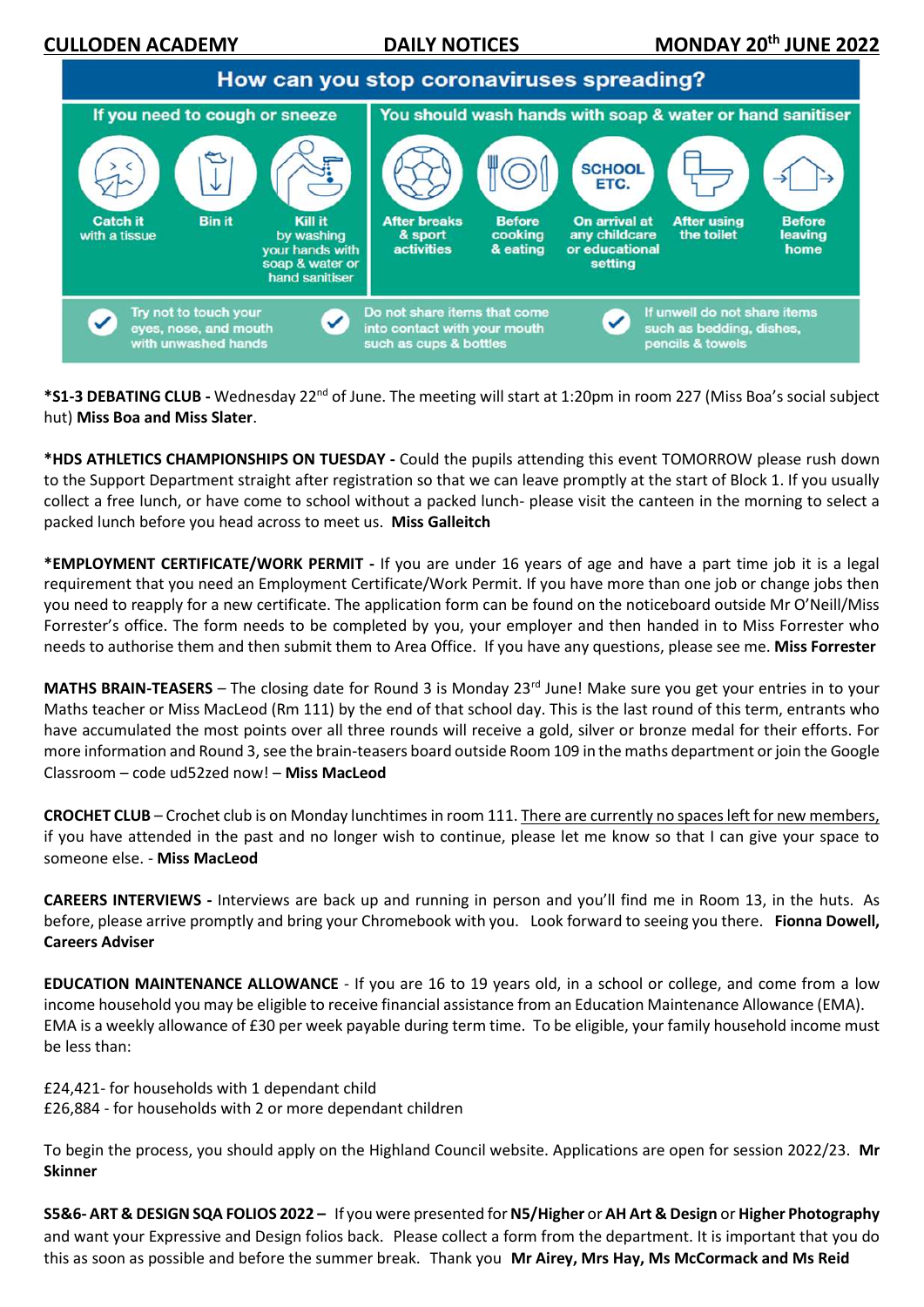

**\*S1-3 DEBATING CLUB -** Wednesday 22nd of June. The meeting will start at 1:20pm in room 227 (Miss Boa's social subject hut) **Miss Boa and Miss Slater**.

**\*HDS ATHLETICS CHAMPIONSHIPS ON TUESDAY -** Could the pupils attending this event TOMORROW please rush down to the Support Department straight after registration so that we can leave promptly at the start of Block 1. If you usually collect a free lunch, or have come to school without a packed lunch- please visit the canteen in the morning to select a packed lunch before you head across to meet us. **Miss Galleitch**

**\*EMPLOYMENT CERTIFICATE/WORK PERMIT -** If you are under 16 years of age and have a part time job it is a legal requirement that you need an Employment Certificate/Work Permit. If you have more than one job or change jobs then you need to reapply for a new certificate. The application form can be found on the noticeboard outside Mr O'Neill/Miss Forrester's office. The form needs to be completed by you, your employer and then handed in to Miss Forrester who needs to authorise them and then submit them to Area Office. If you have any questions, please see me. **Miss Forrester**

MATHS BRAIN-TEASERS - The closing date for Round 3 is Monday 23<sup>rd</sup> June! Make sure you get your entries in to your Maths teacher or Miss MacLeod (Rm 111) by the end of that school day. This is the last round of this term, entrants who have accumulated the most points over all three rounds will receive a gold, silver or bronze medal for their efforts. For more information and Round 3, see the brain-teasers board outside Room 109 in the maths department or join the Google Classroom – code ud52zed now! – **Miss MacLeod**

**CROCHET CLUB** – Crochet club is on Monday lunchtimes in room 111. There are currently no spaces left for new members, if you have attended in the past and no longer wish to continue, please let me know so that I can give your space to someone else. - **Miss MacLeod**

**CAREERS INTERVIEWS -** Interviews are back up and running in person and you'll find me in Room 13, in the huts.  As before, please arrive promptly and bring your Chromebook with you.   Look forward to seeing you there.**Fionna Dowell, Careers Adviser**

**EDUCATION MAINTENANCE ALLOWANCE** - If you are 16 to 19 years old, in a school or college, and come from a low income household you may be eligible to receive financial assistance from an Education Maintenance Allowance (EMA). EMA is a weekly allowance of £30 per week payable during term time. To be eligible, your family household income must be less than:

£24,421- for households with 1 dependant child

£26,884 - for households with 2 or more dependant children

To begin the process, you should apply on the Highland Council website. Applications are open for session 2022/23. **Mr Skinner**

**S5&6- ART & DESIGN SQA FOLIOS 2022 –** If you were presented for **N5/Higher** or **AH Art & Design** or **Higher Photography** and want your Expressive and Design folios back. Please collect a form from the department. It is important that you do this as soon as possible and before the summer break. Thank you **Mr Airey, Mrs Hay, Ms McCormack and Ms Reid**